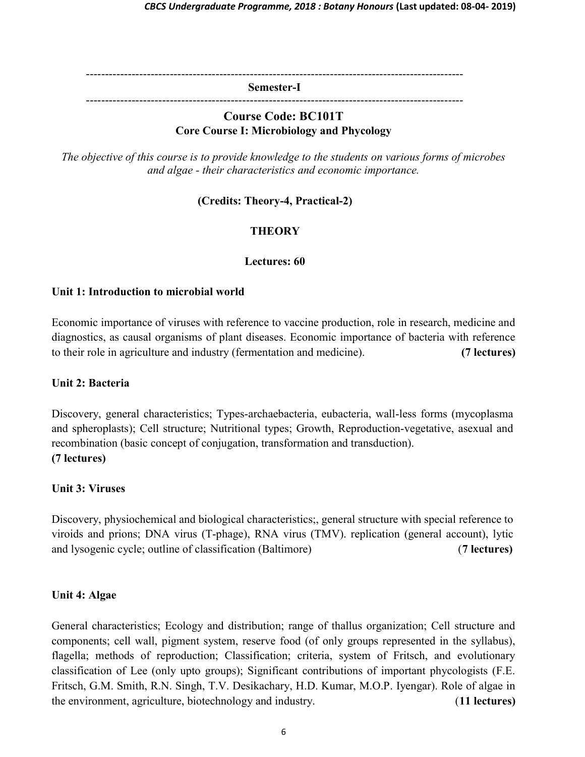---------------------------------------------------------------------------------------------------

Semester-I

---------------------------------------------------------------------------------------------------

### Course Code: BC101T Core Course I: Microbiology and Phycology

The objective of this course is to provide knowledge to the students on various forms of microbes and algae - their characteristics and economic importance.

(Credits: Theory-4, Practical-2)

# **THEORY**

### Lectures: 60

#### Unit 1: Introduction to microbial world

Economic importance of viruses with reference to vaccine production, role in research, medicine and diagnostics, as causal organisms of plant diseases. Economic importance of bacteria with reference to their role in agriculture and industry (fermentation and medicine). (7 lectures)

#### Unit 2: Bacteria

Discovery, general characteristics; Types-archaebacteria, eubacteria, wall-less forms (mycoplasma and spheroplasts); Cell structure; Nutritional types; Growth, Reproduction-vegetative, asexual and recombination (basic concept of conjugation, transformation and transduction). (7 lectures)

### Unit 3: Viruses

Discovery, physiochemical and biological characteristics;, general structure with special reference to viroids and prions; DNA virus (T-phage), RNA virus (TMV). replication (general account), lytic and lysogenic cycle; outline of classification (Baltimore) (7 lectures)

### Unit 4: Algae

General characteristics; Ecology and distribution; range of thallus organization; Cell structure and components; cell wall, pigment system, reserve food (of only groups represented in the syllabus), flagella; methods of reproduction; Classification; criteria, system of Fritsch, and evolutionary classification of Lee (only upto groups); Significant contributions of important phycologists (F.E. Fritsch, G.M. Smith, R.N. Singh, T.V. Desikachary, H.D. Kumar, M.O.P. Iyengar). Role of algae in the environment, agriculture, biotechnology and industry. (11 lectures)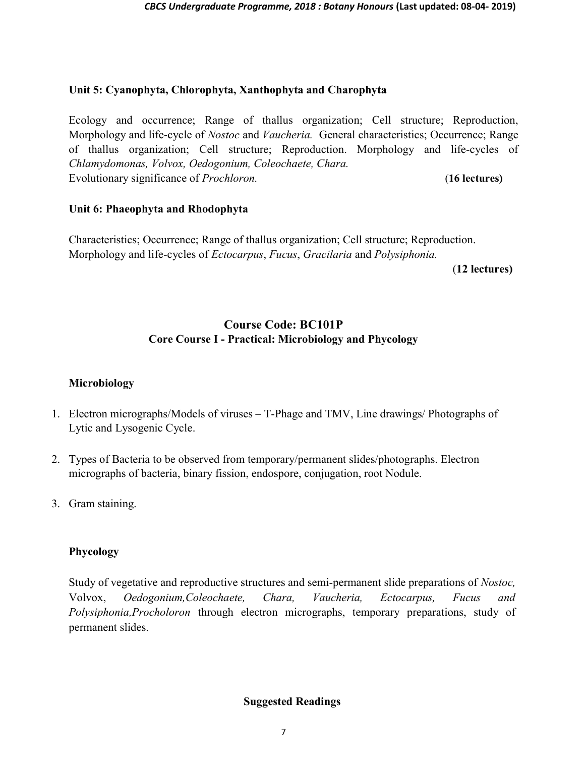#### Unit 5: Cyanophyta, Chlorophyta, Xanthophyta and Charophyta

Ecology and occurrence; Range of thallus organization; Cell structure; Reproduction, Morphology and life-cycle of *Nostoc* and *Vaucheria*. General characteristics; Occurrence; Range of thallus organization; Cell structure; Reproduction. Morphology and life-cycles of Chlamydomonas, Volvox, Oedogonium, Coleochaete, Chara. Evolutionary significance of *Prochloron*. (16 lectures)

#### Unit 6: Phaeophyta and Rhodophyta

Characteristics; Occurrence; Range of thallus organization; Cell structure; Reproduction. Morphology and life-cycles of Ectocarpus, Fucus, Gracilaria and Polysiphonia.

(12 lectures)

## Course Code: BC101P Core Course I - Practical: Microbiology and Phycology

#### Microbiology

- 1. Electron micrographs/Models of viruses T-Phage and TMV, Line drawings/ Photographs of Lytic and Lysogenic Cycle.
- 2. Types of Bacteria to be observed from temporary/permanent slides/photographs. Electron micrographs of bacteria, binary fission, endospore, conjugation, root Nodule.
- 3. Gram staining.

### Phycology

Study of vegetative and reproductive structures and semi-permanent slide preparations of Nostoc, Volvox, Oedogonium,Coleochaete, Chara, Vaucheria, Ectocarpus, Fucus and Polysiphonia,Procholoron through electron micrographs, temporary preparations, study of permanent slides.

### Suggested Readings